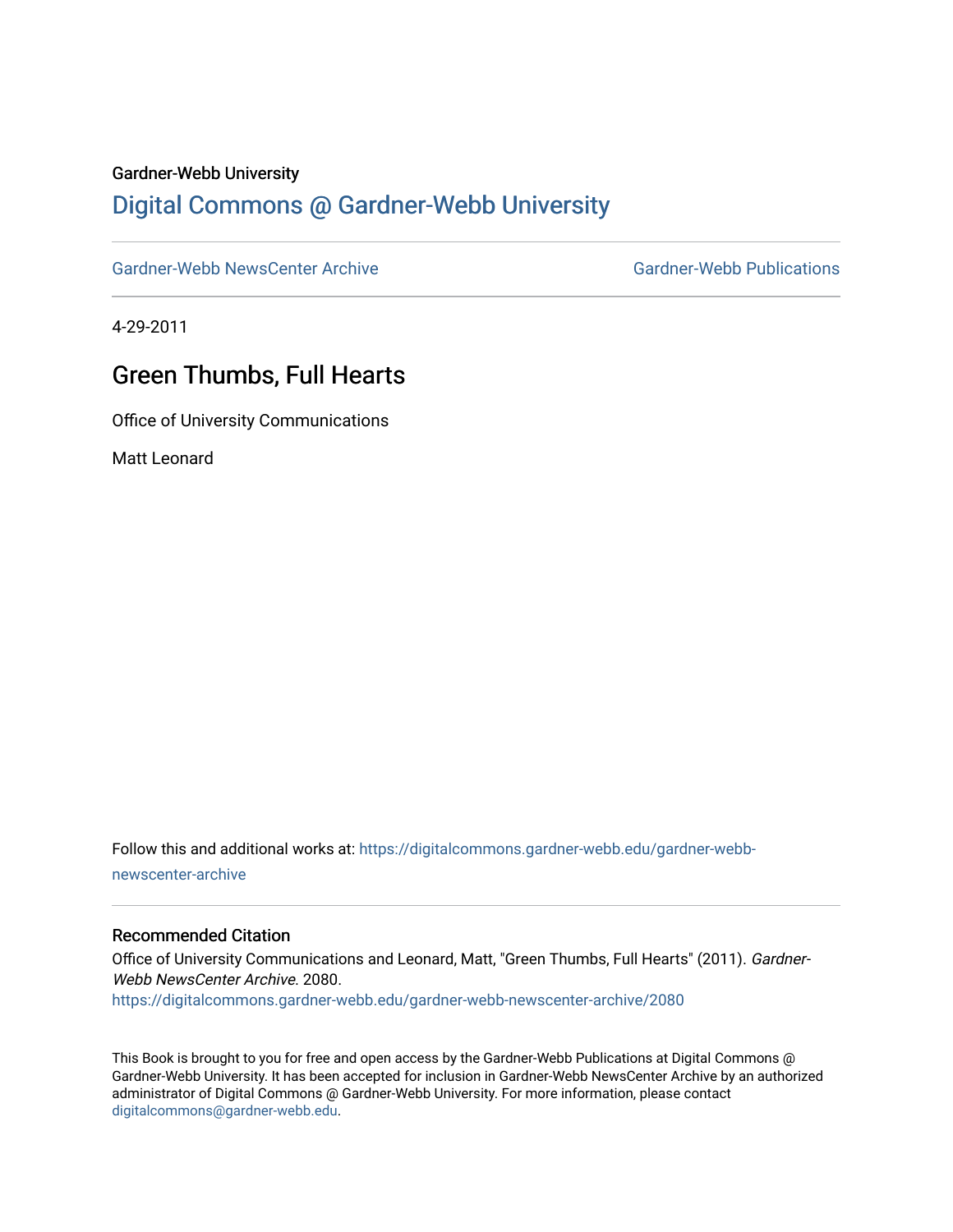#### Gardner-Webb University

# [Digital Commons @ Gardner-Webb University](https://digitalcommons.gardner-webb.edu/)

[Gardner-Webb NewsCenter Archive](https://digitalcommons.gardner-webb.edu/gardner-webb-newscenter-archive) Gardner-Webb Publications

4-29-2011

# Green Thumbs, Full Hearts

Office of University Communications

Matt Leonard

Follow this and additional works at: [https://digitalcommons.gardner-webb.edu/gardner-webb](https://digitalcommons.gardner-webb.edu/gardner-webb-newscenter-archive?utm_source=digitalcommons.gardner-webb.edu%2Fgardner-webb-newscenter-archive%2F2080&utm_medium=PDF&utm_campaign=PDFCoverPages)[newscenter-archive](https://digitalcommons.gardner-webb.edu/gardner-webb-newscenter-archive?utm_source=digitalcommons.gardner-webb.edu%2Fgardner-webb-newscenter-archive%2F2080&utm_medium=PDF&utm_campaign=PDFCoverPages)

#### Recommended Citation

Office of University Communications and Leonard, Matt, "Green Thumbs, Full Hearts" (2011). Gardner-Webb NewsCenter Archive. 2080. [https://digitalcommons.gardner-webb.edu/gardner-webb-newscenter-archive/2080](https://digitalcommons.gardner-webb.edu/gardner-webb-newscenter-archive/2080?utm_source=digitalcommons.gardner-webb.edu%2Fgardner-webb-newscenter-archive%2F2080&utm_medium=PDF&utm_campaign=PDFCoverPages) 

This Book is brought to you for free and open access by the Gardner-Webb Publications at Digital Commons @ Gardner-Webb University. It has been accepted for inclusion in Gardner-Webb NewsCenter Archive by an authorized administrator of Digital Commons @ Gardner-Webb University. For more information, please contact [digitalcommons@gardner-webb.edu](mailto:digitalcommons@gardner-webb.edu).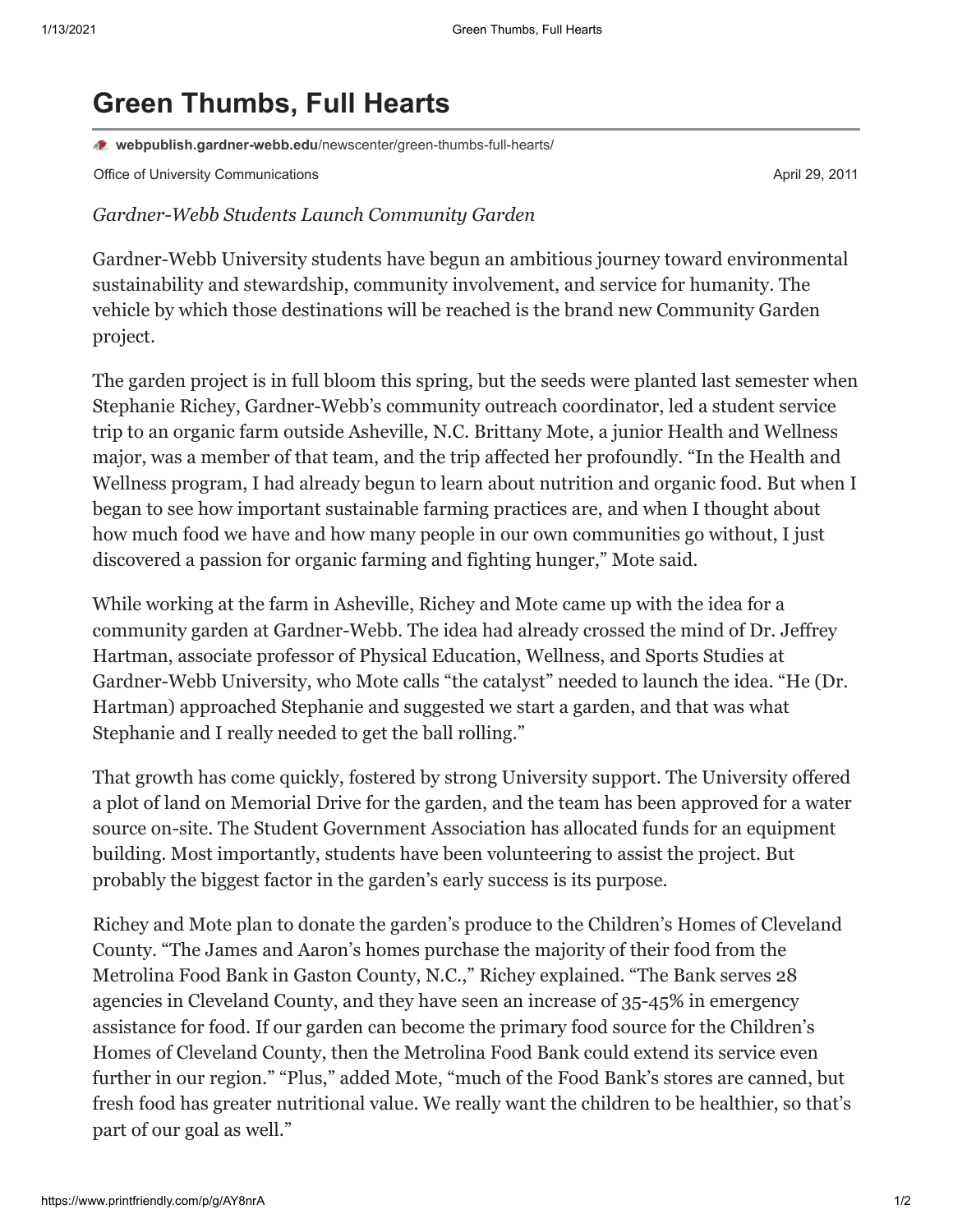# **Green Thumbs, Full Hearts**

**webpublish.gardner-webb.edu**[/newscenter/green-thumbs-full-hearts/](https://webpublish.gardner-webb.edu/newscenter/green-thumbs-full-hearts/)

Office of University Communications **April 29, 2011 April 29, 2011** 

## *Gardner-Webb Students Launch Community Garden*

Gardner-Webb University students have begun an ambitious journey toward environmental sustainability and stewardship, community involvement, and service for humanity. The vehicle by which those destinations will be reached is the brand new Community Garden project.

The garden project is in full bloom this spring, but the seeds were planted last semester when Stephanie Richey, Gardner-Webb's community outreach coordinator, led a student service trip to an organic farm outside Asheville, N.C. Brittany Mote, a junior Health and Wellness major, was a member of that team, and the trip affected her profoundly. "In the Health and Wellness program, I had already begun to learn about nutrition and organic food. But when I began to see how important sustainable farming practices are, and when I thought about how much food we have and how many people in our own communities go without, I just discovered a passion for organic farming and fighting hunger," Mote said.

While working at the farm in Asheville, Richey and Mote came up with the idea for a community garden at Gardner-Webb. The idea had already crossed the mind of Dr. Jeffrey Hartman, associate professor of Physical Education, Wellness, and Sports Studies at Gardner-Webb University, who Mote calls "the catalyst" needed to launch the idea. "He (Dr. Hartman) approached Stephanie and suggested we start a garden, and that was what Stephanie and I really needed to get the ball rolling."

That growth has come quickly, fostered by strong University support. The University offered a plot of land on Memorial Drive for the garden, and the team has been approved for a water source on-site. The Student Government Association has allocated funds for an equipment building. Most importantly, students have been volunteering to assist the project. But probably the biggest factor in the garden's early success is its purpose.

Richey and Mote plan to donate the garden's produce to the Children's Homes of Cleveland County. "The James and Aaron's homes purchase the majority of their food from the Metrolina Food Bank in Gaston County, N.C.," Richey explained. "The Bank serves 28 agencies in Cleveland County, and they have seen an increase of 35-45% in emergency assistance for food. If our garden can become the primary food source for the Children's Homes of Cleveland County, then the Metrolina Food Bank could extend its service even further in our region." "Plus," added Mote, "much of the Food Bank's stores are canned, but fresh food has greater nutritional value. We really want the children to be healthier, so that's part of our goal as well."